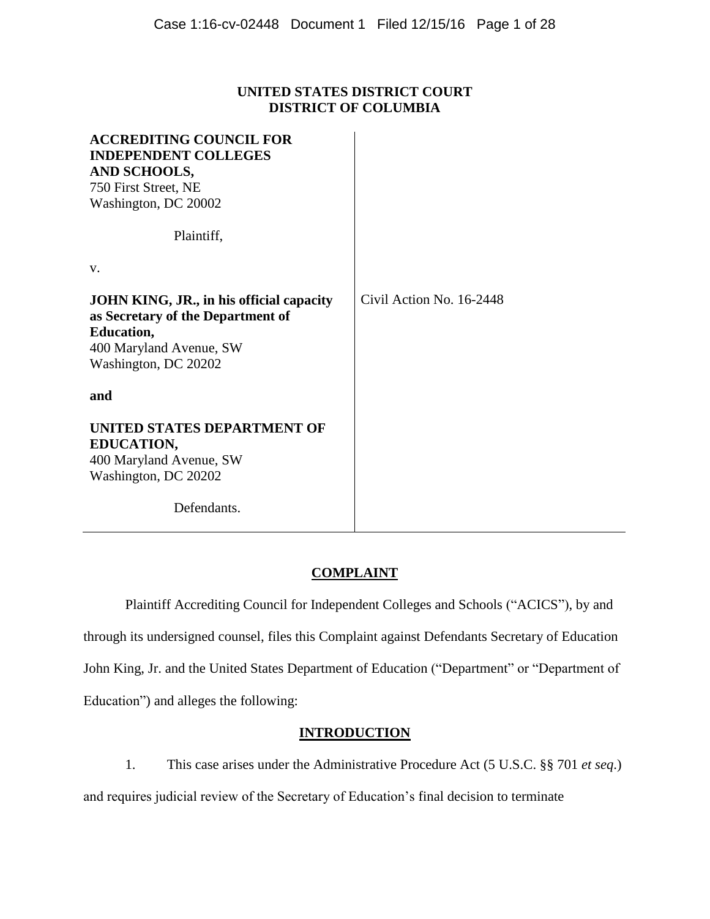## **UNITED STATES DISTRICT COURT DISTRICT OF COLUMBIA**

| <b>ACCREDITING COUNCIL FOR</b><br><b>INDEPENDENT COLLEGES</b><br>AND SCHOOLS,<br>750 First Street, NE<br>Washington, DC 20002                                |                          |
|--------------------------------------------------------------------------------------------------------------------------------------------------------------|--------------------------|
| Plaintiff,                                                                                                                                                   |                          |
| V.                                                                                                                                                           |                          |
| <b>JOHN KING, JR., in his official capacity</b><br>as Secretary of the Department of<br><b>Education,</b><br>400 Maryland Avenue, SW<br>Washington, DC 20202 | Civil Action No. 16-2448 |
| and                                                                                                                                                          |                          |
| UNITED STATES DEPARTMENT OF<br><b>EDUCATION,</b><br>400 Maryland Avenue, SW<br>Washington, DC 20202                                                          |                          |
| Defendants.                                                                                                                                                  |                          |

# **COMPLAINT**

Plaintiff Accrediting Council for Independent Colleges and Schools ("ACICS"), by and through its undersigned counsel, files this Complaint against Defendants Secretary of Education John King, Jr. and the United States Department of Education ("Department" or "Department of Education") and alleges the following:

## **INTRODUCTION**

1. This case arises under the Administrative Procedure Act (5 U.S.C. §§ 701 *et seq*.) and requires judicial review of the Secretary of Education's final decision to terminate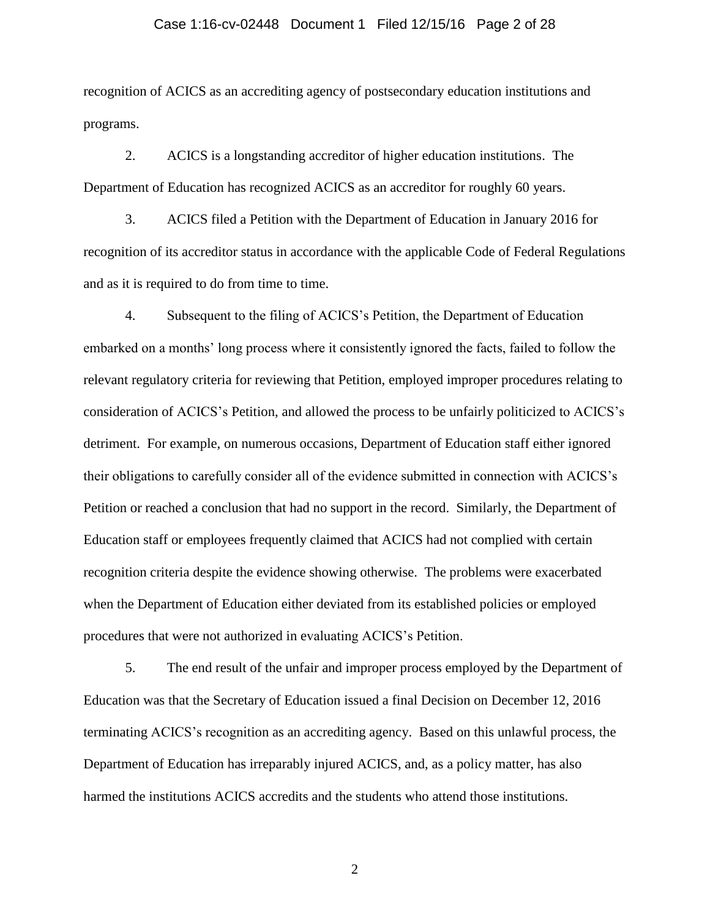#### Case 1:16-cv-02448 Document 1 Filed 12/15/16 Page 2 of 28

recognition of ACICS as an accrediting agency of postsecondary education institutions and programs.

2. ACICS is a longstanding accreditor of higher education institutions. The Department of Education has recognized ACICS as an accreditor for roughly 60 years.

3. ACICS filed a Petition with the Department of Education in January 2016 for recognition of its accreditor status in accordance with the applicable Code of Federal Regulations and as it is required to do from time to time.

4. Subsequent to the filing of ACICS's Petition, the Department of Education embarked on a months' long process where it consistently ignored the facts, failed to follow the relevant regulatory criteria for reviewing that Petition, employed improper procedures relating to consideration of ACICS's Petition, and allowed the process to be unfairly politicized to ACICS's detriment. For example, on numerous occasions, Department of Education staff either ignored their obligations to carefully consider all of the evidence submitted in connection with ACICS's Petition or reached a conclusion that had no support in the record. Similarly, the Department of Education staff or employees frequently claimed that ACICS had not complied with certain recognition criteria despite the evidence showing otherwise. The problems were exacerbated when the Department of Education either deviated from its established policies or employed procedures that were not authorized in evaluating ACICS's Petition.

5. The end result of the unfair and improper process employed by the Department of Education was that the Secretary of Education issued a final Decision on December 12, 2016 terminating ACICS's recognition as an accrediting agency. Based on this unlawful process, the Department of Education has irreparably injured ACICS, and, as a policy matter, has also harmed the institutions ACICS accredits and the students who attend those institutions.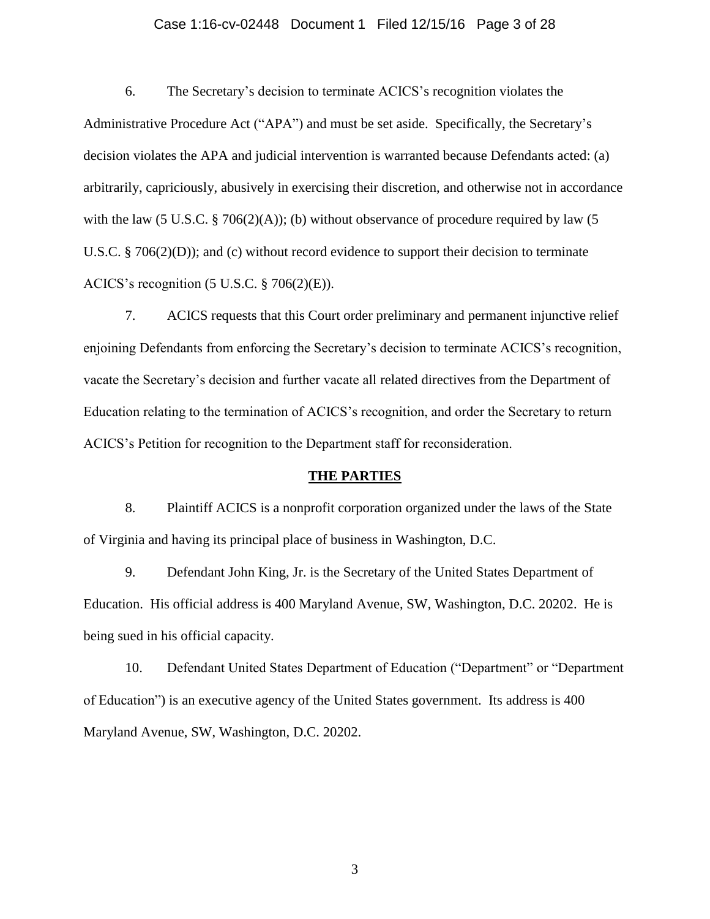#### Case 1:16-cv-02448 Document 1 Filed 12/15/16 Page 3 of 28

6. The Secretary's decision to terminate ACICS's recognition violates the Administrative Procedure Act ("APA") and must be set aside. Specifically, the Secretary's decision violates the APA and judicial intervention is warranted because Defendants acted: (a) arbitrarily, capriciously, abusively in exercising their discretion, and otherwise not in accordance with the law (5 U.S.C.  $\S$  706(2)(A)); (b) without observance of procedure required by law (5 U.S.C. § 706(2)(D)); and (c) without record evidence to support their decision to terminate ACICS's recognition (5 U.S.C. § 706(2)(E)).

7. ACICS requests that this Court order preliminary and permanent injunctive relief enjoining Defendants from enforcing the Secretary's decision to terminate ACICS's recognition, vacate the Secretary's decision and further vacate all related directives from the Department of Education relating to the termination of ACICS's recognition, and order the Secretary to return ACICS's Petition for recognition to the Department staff for reconsideration.

#### **THE PARTIES**

8. Plaintiff ACICS is a nonprofit corporation organized under the laws of the State of Virginia and having its principal place of business in Washington, D.C.

9. Defendant John King, Jr. is the Secretary of the United States Department of Education. His official address is 400 Maryland Avenue, SW, Washington, D.C. 20202. He is being sued in his official capacity.

10. Defendant United States Department of Education ("Department" or "Department of Education") is an executive agency of the United States government. Its address is 400 Maryland Avenue, SW, Washington, D.C. 20202.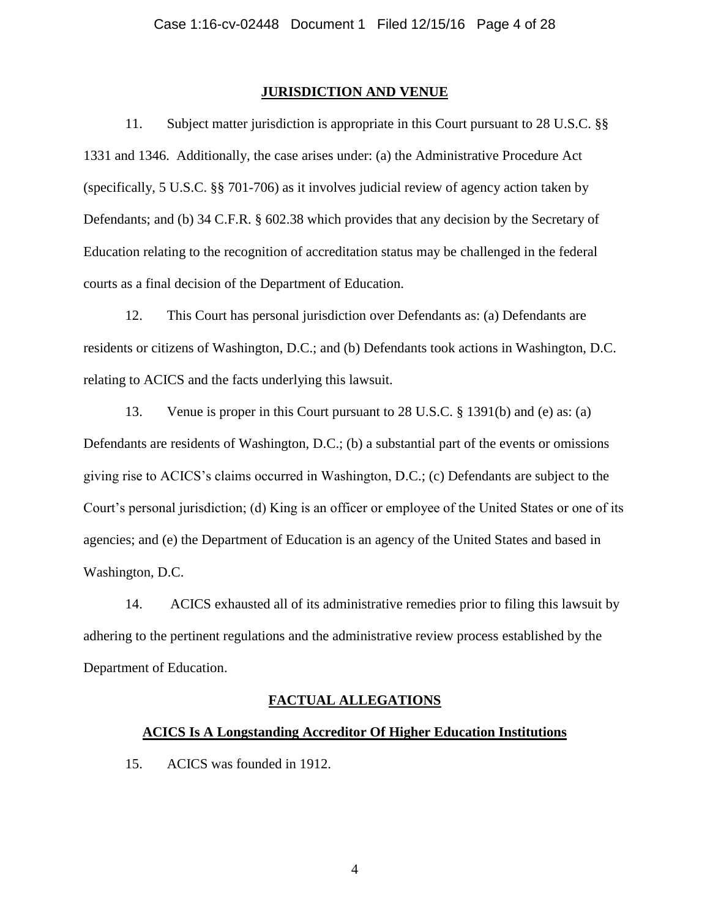#### **JURISDICTION AND VENUE**

11. Subject matter jurisdiction is appropriate in this Court pursuant to 28 U.S.C. §§ 1331 and 1346. Additionally, the case arises under: (a) the Administrative Procedure Act (specifically, 5 U.S.C. §§ 701-706) as it involves judicial review of agency action taken by Defendants; and (b) 34 C.F.R. § 602.38 which provides that any decision by the Secretary of Education relating to the recognition of accreditation status may be challenged in the federal courts as a final decision of the Department of Education.

12. This Court has personal jurisdiction over Defendants as: (a) Defendants are residents or citizens of Washington, D.C.; and (b) Defendants took actions in Washington, D.C. relating to ACICS and the facts underlying this lawsuit.

13. Venue is proper in this Court pursuant to 28 U.S.C. § 1391(b) and (e) as: (a) Defendants are residents of Washington, D.C.; (b) a substantial part of the events or omissions giving rise to ACICS's claims occurred in Washington, D.C.; (c) Defendants are subject to the Court's personal jurisdiction; (d) King is an officer or employee of the United States or one of its agencies; and (e) the Department of Education is an agency of the United States and based in Washington, D.C.

14. ACICS exhausted all of its administrative remedies prior to filing this lawsuit by adhering to the pertinent regulations and the administrative review process established by the Department of Education.

#### **FACTUAL ALLEGATIONS**

#### **ACICS Is A Longstanding Accreditor Of Higher Education Institutions**

15. ACICS was founded in 1912.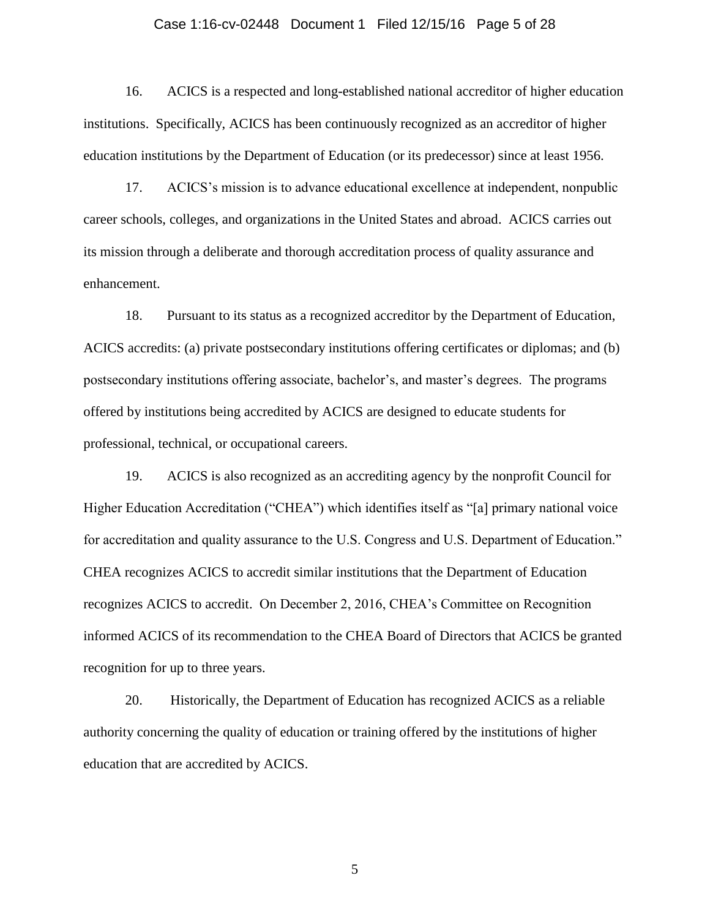#### Case 1:16-cv-02448 Document 1 Filed 12/15/16 Page 5 of 28

16. ACICS is a respected and long-established national accreditor of higher education institutions. Specifically, ACICS has been continuously recognized as an accreditor of higher education institutions by the Department of Education (or its predecessor) since at least 1956.

17. ACICS's mission is to advance educational excellence at independent, nonpublic career schools, colleges, and organizations in the United States and abroad. ACICS carries out its mission through a deliberate and thorough accreditation process of quality assurance and enhancement.

18. Pursuant to its status as a recognized accreditor by the Department of Education, ACICS accredits: (a) private postsecondary institutions offering certificates or diplomas; and (b) postsecondary institutions offering associate, bachelor's, and master's degrees. The programs offered by institutions being accredited by ACICS are designed to educate students for professional, technical, or occupational careers.

19. ACICS is also recognized as an accrediting agency by the nonprofit Council for Higher Education Accreditation ("CHEA") which identifies itself as "[a] primary national voice for accreditation and quality assurance to the U.S. Congress and U.S. Department of Education." CHEA recognizes ACICS to accredit similar institutions that the Department of Education recognizes ACICS to accredit. On December 2, 2016, CHEA's Committee on Recognition informed ACICS of its recommendation to the CHEA Board of Directors that ACICS be granted recognition for up to three years.

20. Historically, the Department of Education has recognized ACICS as a reliable authority concerning the quality of education or training offered by the institutions of higher education that are accredited by ACICS.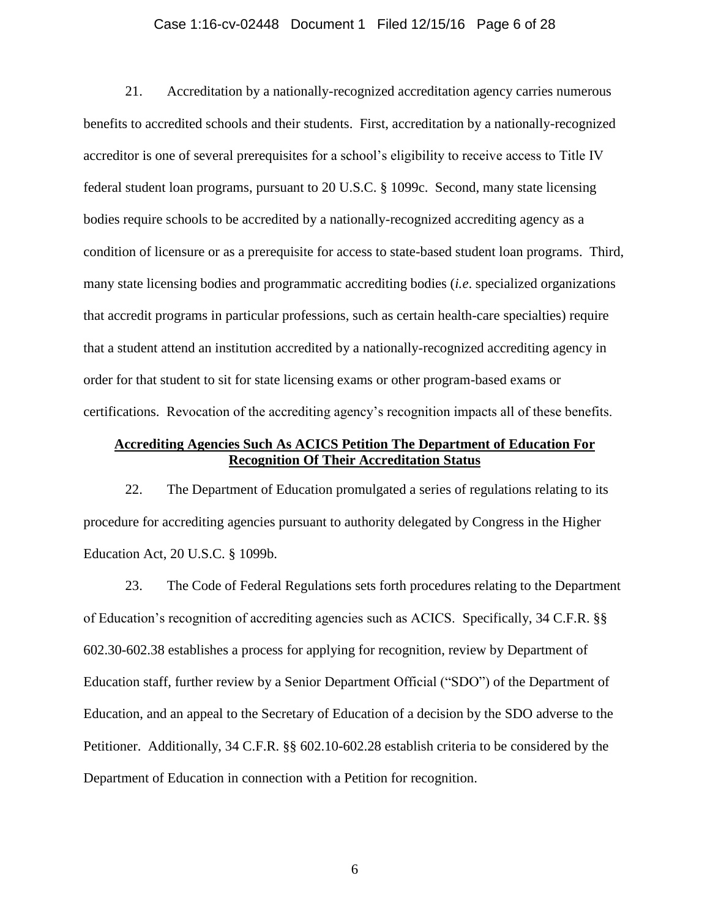#### Case 1:16-cv-02448 Document 1 Filed 12/15/16 Page 6 of 28

21. Accreditation by a nationally-recognized accreditation agency carries numerous benefits to accredited schools and their students. First, accreditation by a nationally-recognized accreditor is one of several prerequisites for a school's eligibility to receive access to Title IV federal student loan programs, pursuant to 20 U.S.C. § 1099c. Second, many state licensing bodies require schools to be accredited by a nationally-recognized accrediting agency as a condition of licensure or as a prerequisite for access to state-based student loan programs. Third, many state licensing bodies and programmatic accrediting bodies (*i.e*. specialized organizations that accredit programs in particular professions, such as certain health-care specialties) require that a student attend an institution accredited by a nationally-recognized accrediting agency in order for that student to sit for state licensing exams or other program-based exams or certifications. Revocation of the accrediting agency's recognition impacts all of these benefits.

### **Accrediting Agencies Such As ACICS Petition The Department of Education For Recognition Of Their Accreditation Status**

22. The Department of Education promulgated a series of regulations relating to its procedure for accrediting agencies pursuant to authority delegated by Congress in the Higher Education Act, 20 U.S.C. § 1099b.

23. The Code of Federal Regulations sets forth procedures relating to the Department of Education's recognition of accrediting agencies such as ACICS. Specifically, 34 C.F.R. §§ 602.30-602.38 establishes a process for applying for recognition, review by Department of Education staff, further review by a Senior Department Official ("SDO") of the Department of Education, and an appeal to the Secretary of Education of a decision by the SDO adverse to the Petitioner. Additionally, 34 C.F.R. §§ 602.10-602.28 establish criteria to be considered by the Department of Education in connection with a Petition for recognition.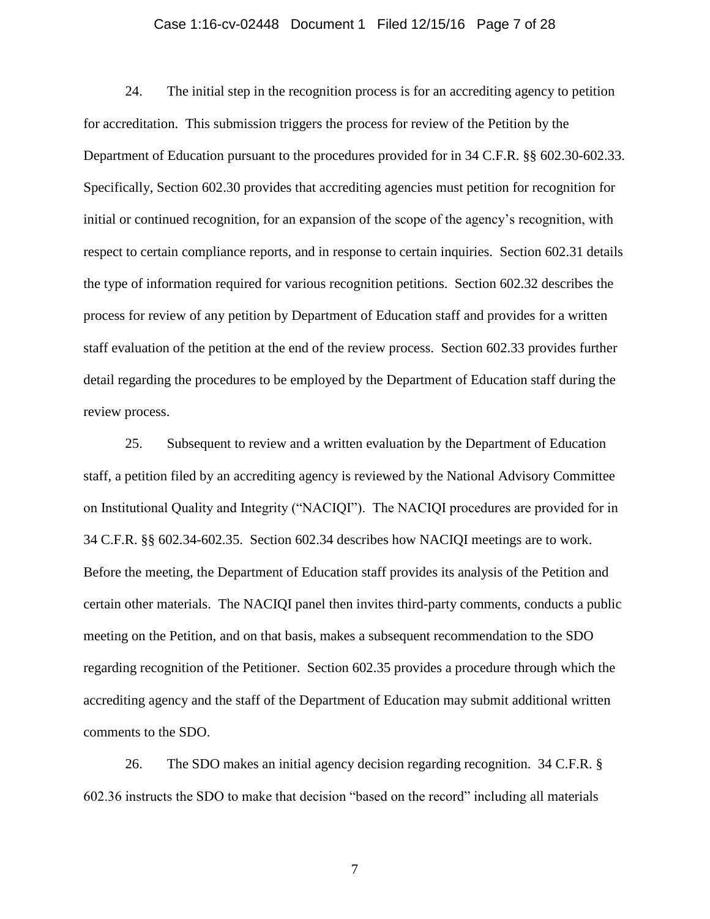#### Case 1:16-cv-02448 Document 1 Filed 12/15/16 Page 7 of 28

24. The initial step in the recognition process is for an accrediting agency to petition for accreditation. This submission triggers the process for review of the Petition by the Department of Education pursuant to the procedures provided for in 34 C.F.R. §§ 602.30-602.33. Specifically, Section 602.30 provides that accrediting agencies must petition for recognition for initial or continued recognition, for an expansion of the scope of the agency's recognition, with respect to certain compliance reports, and in response to certain inquiries. Section 602.31 details the type of information required for various recognition petitions. Section 602.32 describes the process for review of any petition by Department of Education staff and provides for a written staff evaluation of the petition at the end of the review process. Section 602.33 provides further detail regarding the procedures to be employed by the Department of Education staff during the review process.

25. Subsequent to review and a written evaluation by the Department of Education staff, a petition filed by an accrediting agency is reviewed by the National Advisory Committee on Institutional Quality and Integrity ("NACIQI"). The NACIQI procedures are provided for in 34 C.F.R. §§ 602.34-602.35. Section 602.34 describes how NACIQI meetings are to work. Before the meeting, the Department of Education staff provides its analysis of the Petition and certain other materials. The NACIQI panel then invites third-party comments, conducts a public meeting on the Petition, and on that basis, makes a subsequent recommendation to the SDO regarding recognition of the Petitioner. Section 602.35 provides a procedure through which the accrediting agency and the staff of the Department of Education may submit additional written comments to the SDO.

26. The SDO makes an initial agency decision regarding recognition. 34 C.F.R. § 602.36 instructs the SDO to make that decision "based on the record" including all materials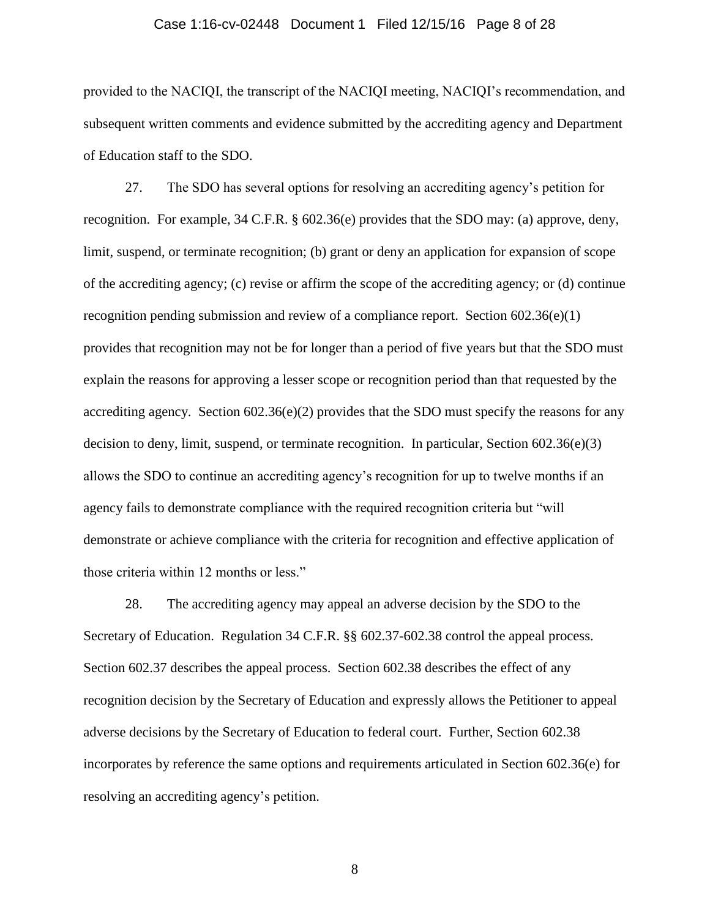#### Case 1:16-cv-02448 Document 1 Filed 12/15/16 Page 8 of 28

provided to the NACIQI, the transcript of the NACIQI meeting, NACIQI's recommendation, and subsequent written comments and evidence submitted by the accrediting agency and Department of Education staff to the SDO.

27. The SDO has several options for resolving an accrediting agency's petition for recognition. For example, 34 C.F.R. § 602.36(e) provides that the SDO may: (a) approve, deny, limit, suspend, or terminate recognition; (b) grant or deny an application for expansion of scope of the accrediting agency; (c) revise or affirm the scope of the accrediting agency; or (d) continue recognition pending submission and review of a compliance report. Section  $602.36(e)(1)$ provides that recognition may not be for longer than a period of five years but that the SDO must explain the reasons for approving a lesser scope or recognition period than that requested by the accrediting agency. Section 602.36(e)(2) provides that the SDO must specify the reasons for any decision to deny, limit, suspend, or terminate recognition. In particular, Section  $602.36(e)(3)$ allows the SDO to continue an accrediting agency's recognition for up to twelve months if an agency fails to demonstrate compliance with the required recognition criteria but "will demonstrate or achieve compliance with the criteria for recognition and effective application of those criteria within 12 months or less."

28. The accrediting agency may appeal an adverse decision by the SDO to the Secretary of Education. Regulation 34 C.F.R. §§ 602.37-602.38 control the appeal process. Section 602.37 describes the appeal process. Section 602.38 describes the effect of any recognition decision by the Secretary of Education and expressly allows the Petitioner to appeal adverse decisions by the Secretary of Education to federal court. Further, Section 602.38 incorporates by reference the same options and requirements articulated in Section 602.36(e) for resolving an accrediting agency's petition.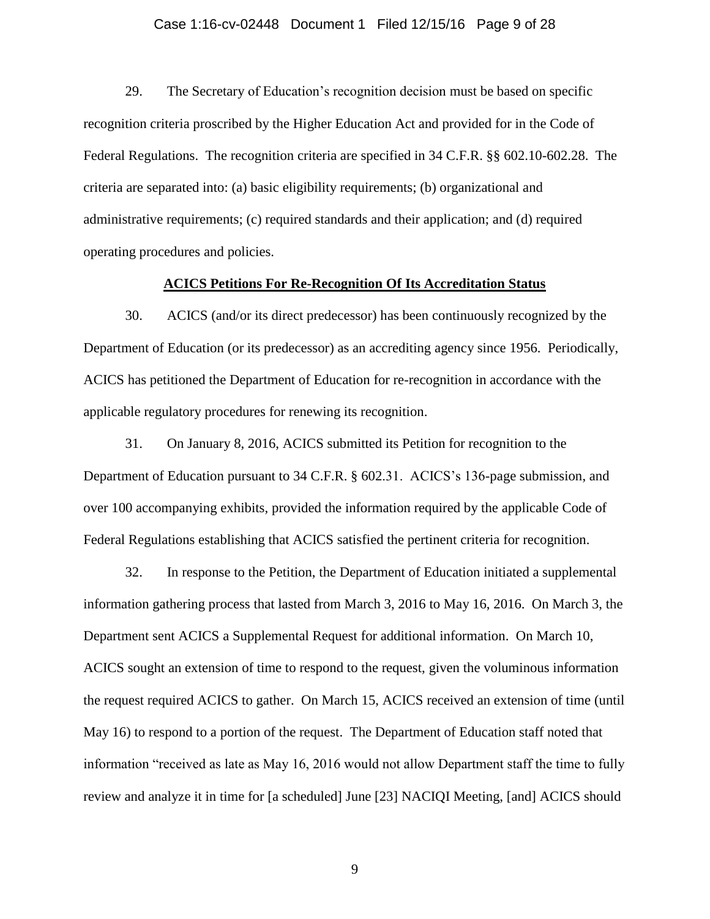#### Case 1:16-cv-02448 Document 1 Filed 12/15/16 Page 9 of 28

29. The Secretary of Education's recognition decision must be based on specific recognition criteria proscribed by the Higher Education Act and provided for in the Code of Federal Regulations. The recognition criteria are specified in 34 C.F.R. §§ 602.10-602.28. The criteria are separated into: (a) basic eligibility requirements; (b) organizational and administrative requirements; (c) required standards and their application; and (d) required operating procedures and policies.

#### **ACICS Petitions For Re-Recognition Of Its Accreditation Status**

30. ACICS (and/or its direct predecessor) has been continuously recognized by the Department of Education (or its predecessor) as an accrediting agency since 1956. Periodically, ACICS has petitioned the Department of Education for re-recognition in accordance with the applicable regulatory procedures for renewing its recognition.

31. On January 8, 2016, ACICS submitted its Petition for recognition to the Department of Education pursuant to 34 C.F.R. § 602.31. ACICS's 136-page submission, and over 100 accompanying exhibits, provided the information required by the applicable Code of Federal Regulations establishing that ACICS satisfied the pertinent criteria for recognition.

32. In response to the Petition, the Department of Education initiated a supplemental information gathering process that lasted from March 3, 2016 to May 16, 2016. On March 3, the Department sent ACICS a Supplemental Request for additional information. On March 10, ACICS sought an extension of time to respond to the request, given the voluminous information the request required ACICS to gather. On March 15, ACICS received an extension of time (until May 16) to respond to a portion of the request. The Department of Education staff noted that information "received as late as May 16, 2016 would not allow Department staff the time to fully review and analyze it in time for [a scheduled] June [23] NACIQI Meeting, [and] ACICS should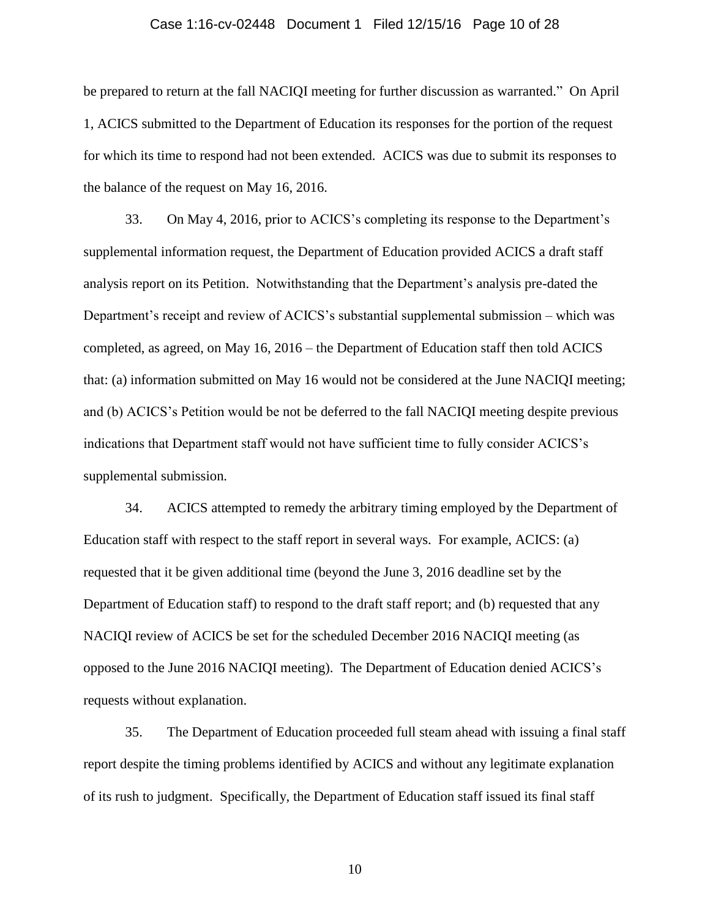#### Case 1:16-cv-02448 Document 1 Filed 12/15/16 Page 10 of 28

be prepared to return at the fall NACIQI meeting for further discussion as warranted." On April 1, ACICS submitted to the Department of Education its responses for the portion of the request for which its time to respond had not been extended. ACICS was due to submit its responses to the balance of the request on May 16, 2016.

33. On May 4, 2016, prior to ACICS's completing its response to the Department's supplemental information request, the Department of Education provided ACICS a draft staff analysis report on its Petition. Notwithstanding that the Department's analysis pre-dated the Department's receipt and review of ACICS's substantial supplemental submission – which was completed, as agreed, on May 16, 2016 – the Department of Education staff then told ACICS that: (a) information submitted on May 16 would not be considered at the June NACIQI meeting; and (b) ACICS's Petition would be not be deferred to the fall NACIQI meeting despite previous indications that Department staff would not have sufficient time to fully consider ACICS's supplemental submission.

34. ACICS attempted to remedy the arbitrary timing employed by the Department of Education staff with respect to the staff report in several ways. For example, ACICS: (a) requested that it be given additional time (beyond the June 3, 2016 deadline set by the Department of Education staff) to respond to the draft staff report; and (b) requested that any NACIQI review of ACICS be set for the scheduled December 2016 NACIQI meeting (as opposed to the June 2016 NACIQI meeting). The Department of Education denied ACICS's requests without explanation.

35. The Department of Education proceeded full steam ahead with issuing a final staff report despite the timing problems identified by ACICS and without any legitimate explanation of its rush to judgment. Specifically, the Department of Education staff issued its final staff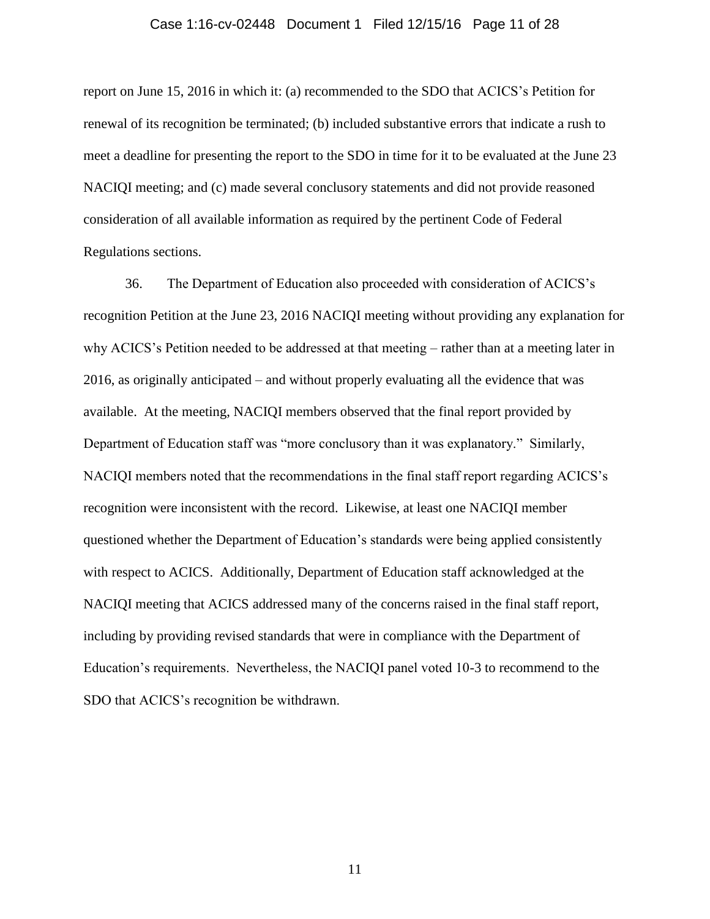#### Case 1:16-cv-02448 Document 1 Filed 12/15/16 Page 11 of 28

report on June 15, 2016 in which it: (a) recommended to the SDO that ACICS's Petition for renewal of its recognition be terminated; (b) included substantive errors that indicate a rush to meet a deadline for presenting the report to the SDO in time for it to be evaluated at the June 23 NACIQI meeting; and (c) made several conclusory statements and did not provide reasoned consideration of all available information as required by the pertinent Code of Federal Regulations sections.

36. The Department of Education also proceeded with consideration of ACICS's recognition Petition at the June 23, 2016 NACIQI meeting without providing any explanation for why ACICS's Petition needed to be addressed at that meeting – rather than at a meeting later in 2016, as originally anticipated – and without properly evaluating all the evidence that was available. At the meeting, NACIQI members observed that the final report provided by Department of Education staff was "more conclusory than it was explanatory." Similarly, NACIQI members noted that the recommendations in the final staff report regarding ACICS's recognition were inconsistent with the record. Likewise, at least one NACIQI member questioned whether the Department of Education's standards were being applied consistently with respect to ACICS. Additionally, Department of Education staff acknowledged at the NACIQI meeting that ACICS addressed many of the concerns raised in the final staff report, including by providing revised standards that were in compliance with the Department of Education's requirements. Nevertheless, the NACIQI panel voted 10-3 to recommend to the SDO that ACICS's recognition be withdrawn.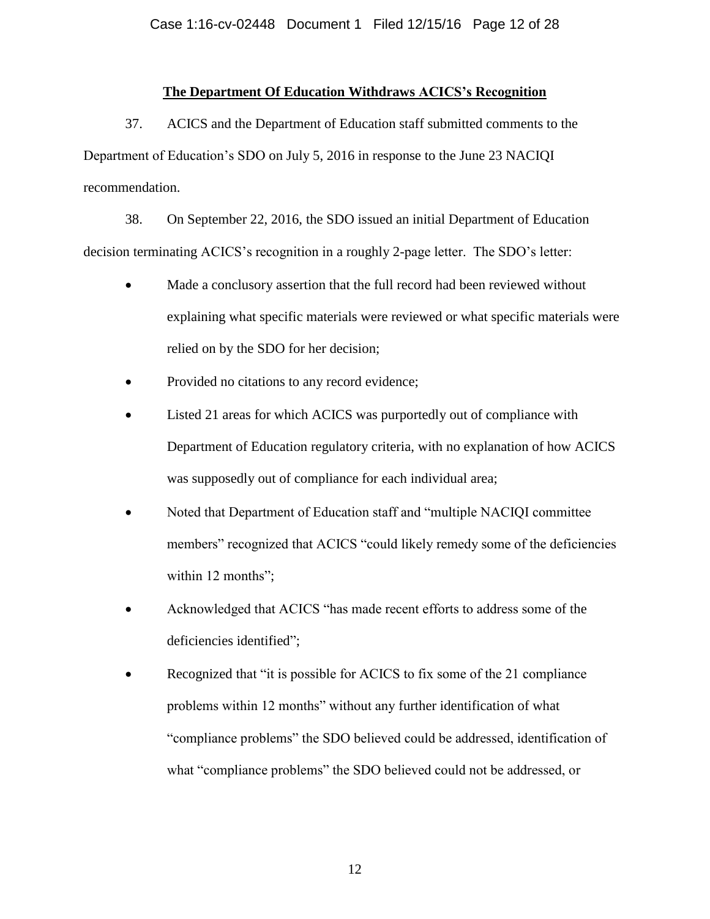#### **The Department Of Education Withdraws ACICS's Recognition**

37. ACICS and the Department of Education staff submitted comments to the Department of Education's SDO on July 5, 2016 in response to the June 23 NACIQI recommendation.

38. On September 22, 2016, the SDO issued an initial Department of Education decision terminating ACICS's recognition in a roughly 2-page letter. The SDO's letter:

- Made a conclusory assertion that the full record had been reviewed without explaining what specific materials were reviewed or what specific materials were relied on by the SDO for her decision;
- Provided no citations to any record evidence;
- Listed 21 areas for which ACICS was purportedly out of compliance with Department of Education regulatory criteria, with no explanation of how ACICS was supposedly out of compliance for each individual area;
- Noted that Department of Education staff and "multiple NACIQI committee members" recognized that ACICS "could likely remedy some of the deficiencies within 12 months";
- Acknowledged that ACICS "has made recent efforts to address some of the deficiencies identified";
- Recognized that "it is possible for ACICS to fix some of the 21 compliance problems within 12 months" without any further identification of what "compliance problems" the SDO believed could be addressed, identification of what "compliance problems" the SDO believed could not be addressed, or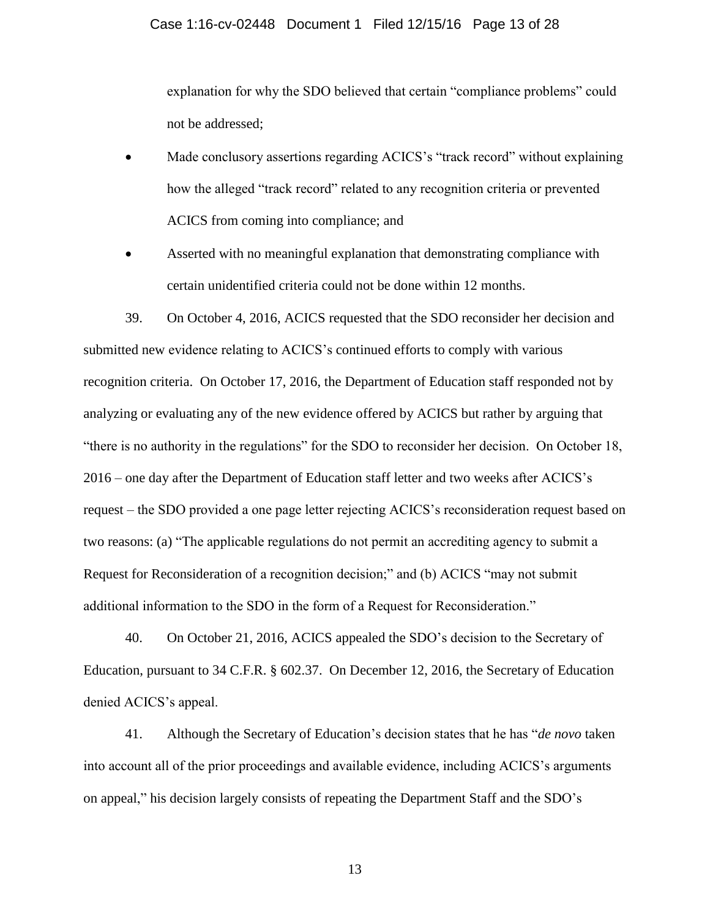#### Case 1:16-cv-02448 Document 1 Filed 12/15/16 Page 13 of 28

explanation for why the SDO believed that certain "compliance problems" could not be addressed;

- Made conclusory assertions regarding ACICS's "track record" without explaining how the alleged "track record" related to any recognition criteria or prevented ACICS from coming into compliance; and
- Asserted with no meaningful explanation that demonstrating compliance with certain unidentified criteria could not be done within 12 months.

39. On October 4, 2016, ACICS requested that the SDO reconsider her decision and submitted new evidence relating to ACICS's continued efforts to comply with various recognition criteria. On October 17, 2016, the Department of Education staff responded not by analyzing or evaluating any of the new evidence offered by ACICS but rather by arguing that "there is no authority in the regulations" for the SDO to reconsider her decision. On October 18, 2016 – one day after the Department of Education staff letter and two weeks after ACICS's request – the SDO provided a one page letter rejecting ACICS's reconsideration request based on two reasons: (a) "The applicable regulations do not permit an accrediting agency to submit a Request for Reconsideration of a recognition decision;" and (b) ACICS "may not submit additional information to the SDO in the form of a Request for Reconsideration."

40. On October 21, 2016, ACICS appealed the SDO's decision to the Secretary of Education, pursuant to 34 C.F.R. § 602.37. On December 12, 2016, the Secretary of Education denied ACICS's appeal.

41. Although the Secretary of Education's decision states that he has "*de novo* taken into account all of the prior proceedings and available evidence, including ACICS's arguments on appeal," his decision largely consists of repeating the Department Staff and the SDO's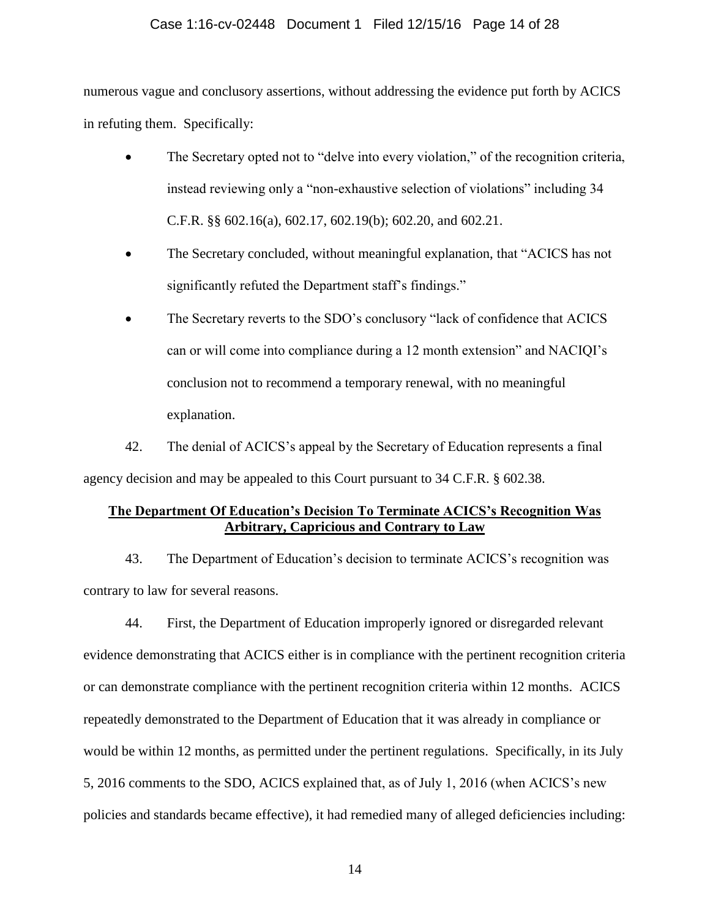### Case 1:16-cv-02448 Document 1 Filed 12/15/16 Page 14 of 28

numerous vague and conclusory assertions, without addressing the evidence put forth by ACICS in refuting them. Specifically:

- The Secretary opted not to "delve into every violation," of the recognition criteria, instead reviewing only a "non-exhaustive selection of violations" including 34 C.F.R. §§ 602.16(a), 602.17, 602.19(b); 602.20, and 602.21.
- The Secretary concluded, without meaningful explanation, that "ACICS has not significantly refuted the Department staff's findings."
- The Secretary reverts to the SDO's conclusory "lack of confidence that ACICS can or will come into compliance during a 12 month extension" and NACIQI's conclusion not to recommend a temporary renewal, with no meaningful explanation.

42. The denial of ACICS's appeal by the Secretary of Education represents a final agency decision and may be appealed to this Court pursuant to 34 C.F.R. § 602.38.

## **The Department Of Education's Decision To Terminate ACICS's Recognition Was Arbitrary, Capricious and Contrary to Law**

43. The Department of Education's decision to terminate ACICS's recognition was contrary to law for several reasons.

44. First, the Department of Education improperly ignored or disregarded relevant evidence demonstrating that ACICS either is in compliance with the pertinent recognition criteria or can demonstrate compliance with the pertinent recognition criteria within 12 months. ACICS repeatedly demonstrated to the Department of Education that it was already in compliance or would be within 12 months, as permitted under the pertinent regulations. Specifically, in its July 5, 2016 comments to the SDO, ACICS explained that, as of July 1, 2016 (when ACICS's new policies and standards became effective), it had remedied many of alleged deficiencies including: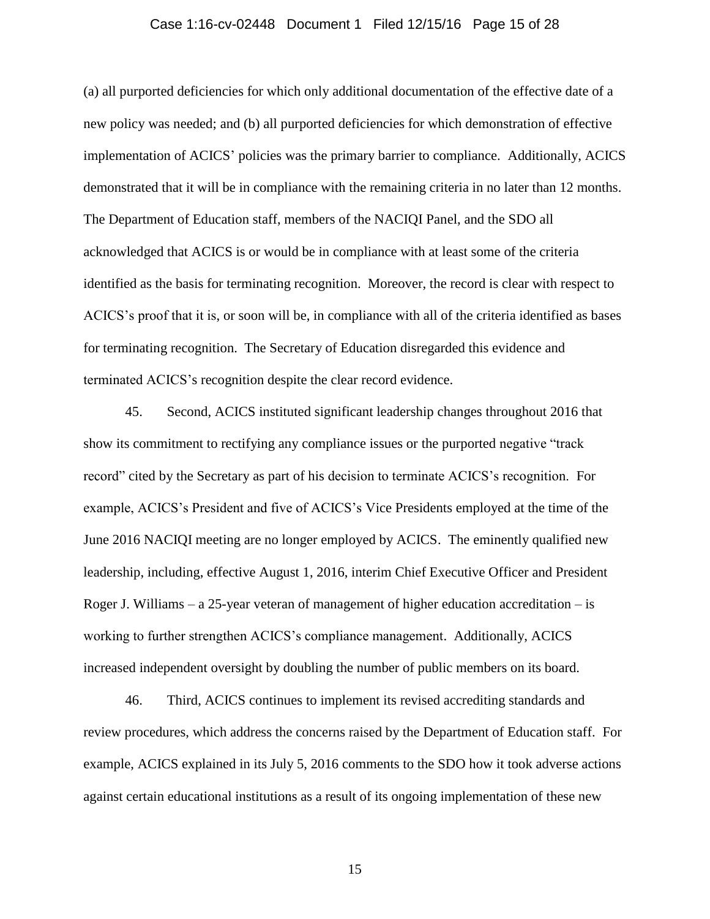#### Case 1:16-cv-02448 Document 1 Filed 12/15/16 Page 15 of 28

(a) all purported deficiencies for which only additional documentation of the effective date of a new policy was needed; and (b) all purported deficiencies for which demonstration of effective implementation of ACICS' policies was the primary barrier to compliance. Additionally, ACICS demonstrated that it will be in compliance with the remaining criteria in no later than 12 months. The Department of Education staff, members of the NACIQI Panel, and the SDO all acknowledged that ACICS is or would be in compliance with at least some of the criteria identified as the basis for terminating recognition. Moreover, the record is clear with respect to ACICS's proof that it is, or soon will be, in compliance with all of the criteria identified as bases for terminating recognition. The Secretary of Education disregarded this evidence and terminated ACICS's recognition despite the clear record evidence.

45. Second, ACICS instituted significant leadership changes throughout 2016 that show its commitment to rectifying any compliance issues or the purported negative "track record" cited by the Secretary as part of his decision to terminate ACICS's recognition. For example, ACICS's President and five of ACICS's Vice Presidents employed at the time of the June 2016 NACIQI meeting are no longer employed by ACICS. The eminently qualified new leadership, including, effective August 1, 2016, interim Chief Executive Officer and President Roger J. Williams – a 25-year veteran of management of higher education accreditation – is working to further strengthen ACICS's compliance management. Additionally, ACICS increased independent oversight by doubling the number of public members on its board.

46. Third, ACICS continues to implement its revised accrediting standards and review procedures, which address the concerns raised by the Department of Education staff. For example, ACICS explained in its July 5, 2016 comments to the SDO how it took adverse actions against certain educational institutions as a result of its ongoing implementation of these new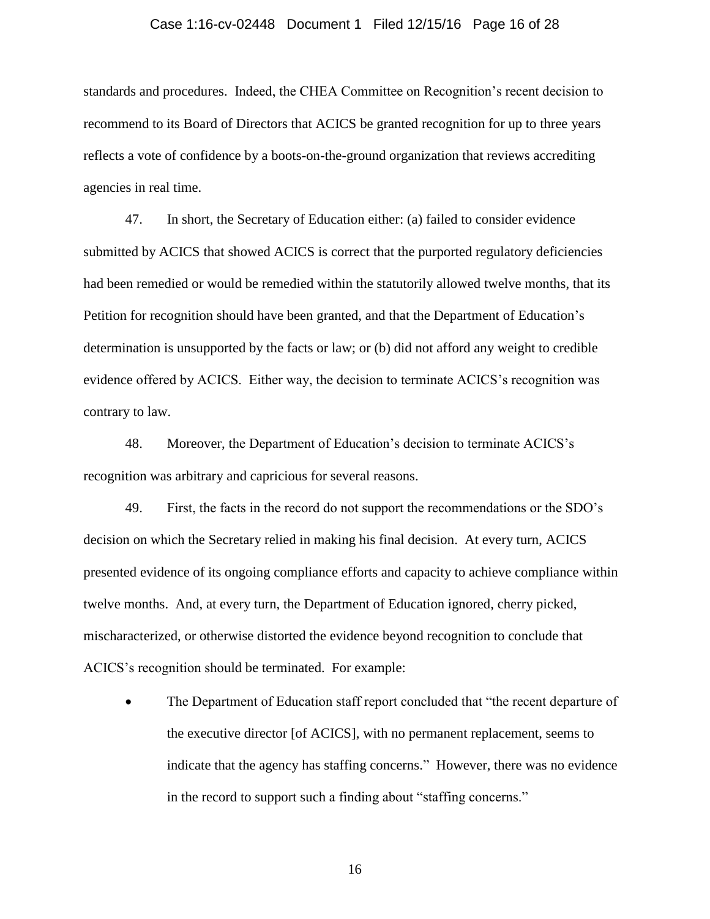#### Case 1:16-cv-02448 Document 1 Filed 12/15/16 Page 16 of 28

standards and procedures. Indeed, the CHEA Committee on Recognition's recent decision to recommend to its Board of Directors that ACICS be granted recognition for up to three years reflects a vote of confidence by a boots-on-the-ground organization that reviews accrediting agencies in real time.

47. In short, the Secretary of Education either: (a) failed to consider evidence submitted by ACICS that showed ACICS is correct that the purported regulatory deficiencies had been remedied or would be remedied within the statutorily allowed twelve months, that its Petition for recognition should have been granted, and that the Department of Education's determination is unsupported by the facts or law; or (b) did not afford any weight to credible evidence offered by ACICS. Either way, the decision to terminate ACICS's recognition was contrary to law.

48. Moreover, the Department of Education's decision to terminate ACICS's recognition was arbitrary and capricious for several reasons.

49. First, the facts in the record do not support the recommendations or the SDO's decision on which the Secretary relied in making his final decision. At every turn, ACICS presented evidence of its ongoing compliance efforts and capacity to achieve compliance within twelve months. And, at every turn, the Department of Education ignored, cherry picked, mischaracterized, or otherwise distorted the evidence beyond recognition to conclude that ACICS's recognition should be terminated. For example:

 The Department of Education staff report concluded that "the recent departure of the executive director [of ACICS], with no permanent replacement, seems to indicate that the agency has staffing concerns." However, there was no evidence in the record to support such a finding about "staffing concerns."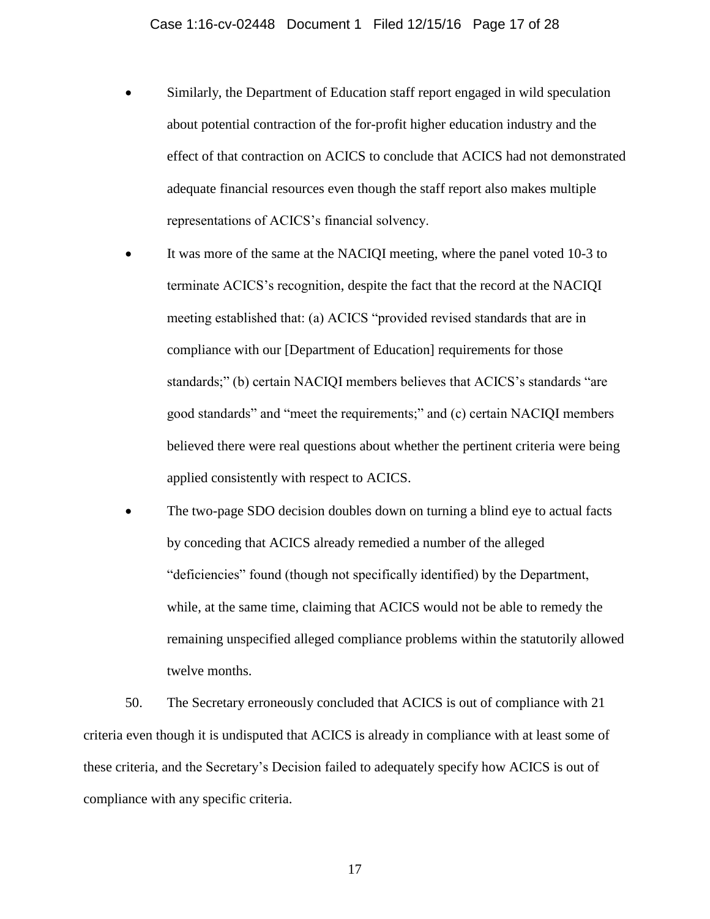- Similarly, the Department of Education staff report engaged in wild speculation about potential contraction of the for-profit higher education industry and the effect of that contraction on ACICS to conclude that ACICS had not demonstrated adequate financial resources even though the staff report also makes multiple representations of ACICS's financial solvency.
- It was more of the same at the NACIQI meeting, where the panel voted 10-3 to terminate ACICS's recognition, despite the fact that the record at the NACIQI meeting established that: (a) ACICS "provided revised standards that are in compliance with our [Department of Education] requirements for those standards;" (b) certain NACIQI members believes that ACICS's standards "are good standards" and "meet the requirements;" and (c) certain NACIQI members believed there were real questions about whether the pertinent criteria were being applied consistently with respect to ACICS.
- The two-page SDO decision doubles down on turning a blind eye to actual facts by conceding that ACICS already remedied a number of the alleged "deficiencies" found (though not specifically identified) by the Department, while, at the same time, claiming that ACICS would not be able to remedy the remaining unspecified alleged compliance problems within the statutorily allowed twelve months.

50. The Secretary erroneously concluded that ACICS is out of compliance with 21 criteria even though it is undisputed that ACICS is already in compliance with at least some of these criteria, and the Secretary's Decision failed to adequately specify how ACICS is out of compliance with any specific criteria.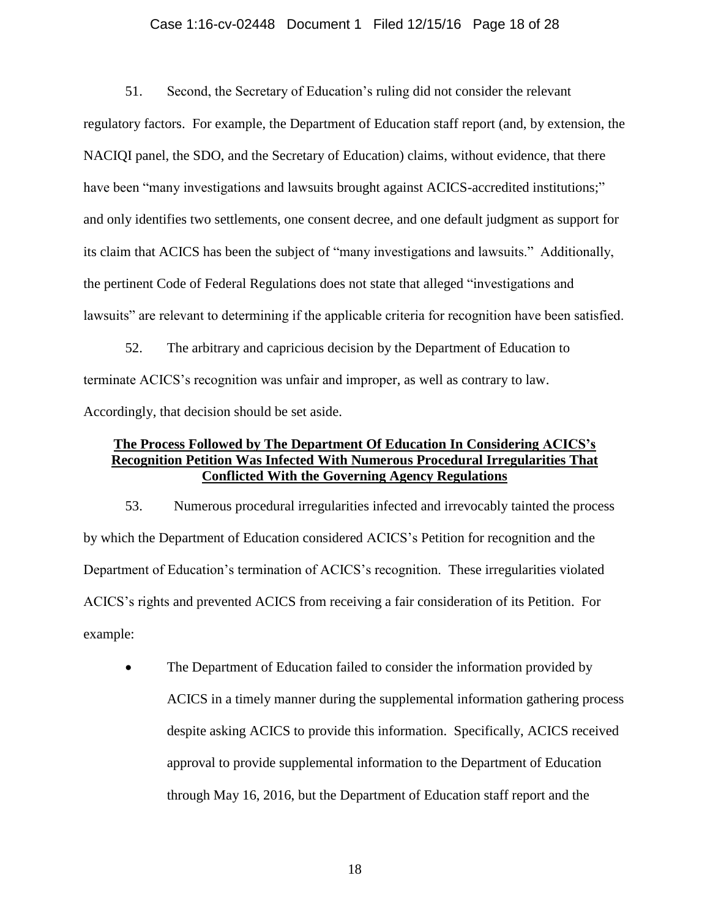#### Case 1:16-cv-02448 Document 1 Filed 12/15/16 Page 18 of 28

51. Second, the Secretary of Education's ruling did not consider the relevant regulatory factors. For example, the Department of Education staff report (and, by extension, the NACIQI panel, the SDO, and the Secretary of Education) claims, without evidence, that there have been "many investigations and lawsuits brought against ACICS-accredited institutions;" and only identifies two settlements, one consent decree, and one default judgment as support for its claim that ACICS has been the subject of "many investigations and lawsuits." Additionally, the pertinent Code of Federal Regulations does not state that alleged "investigations and lawsuits" are relevant to determining if the applicable criteria for recognition have been satisfied.

52. The arbitrary and capricious decision by the Department of Education to terminate ACICS's recognition was unfair and improper, as well as contrary to law. Accordingly, that decision should be set aside.

### **The Process Followed by The Department Of Education In Considering ACICS's Recognition Petition Was Infected With Numerous Procedural Irregularities That Conflicted With the Governing Agency Regulations**

53. Numerous procedural irregularities infected and irrevocably tainted the process by which the Department of Education considered ACICS's Petition for recognition and the Department of Education's termination of ACICS's recognition. These irregularities violated ACICS's rights and prevented ACICS from receiving a fair consideration of its Petition. For example:

 The Department of Education failed to consider the information provided by ACICS in a timely manner during the supplemental information gathering process despite asking ACICS to provide this information. Specifically, ACICS received approval to provide supplemental information to the Department of Education through May 16, 2016, but the Department of Education staff report and the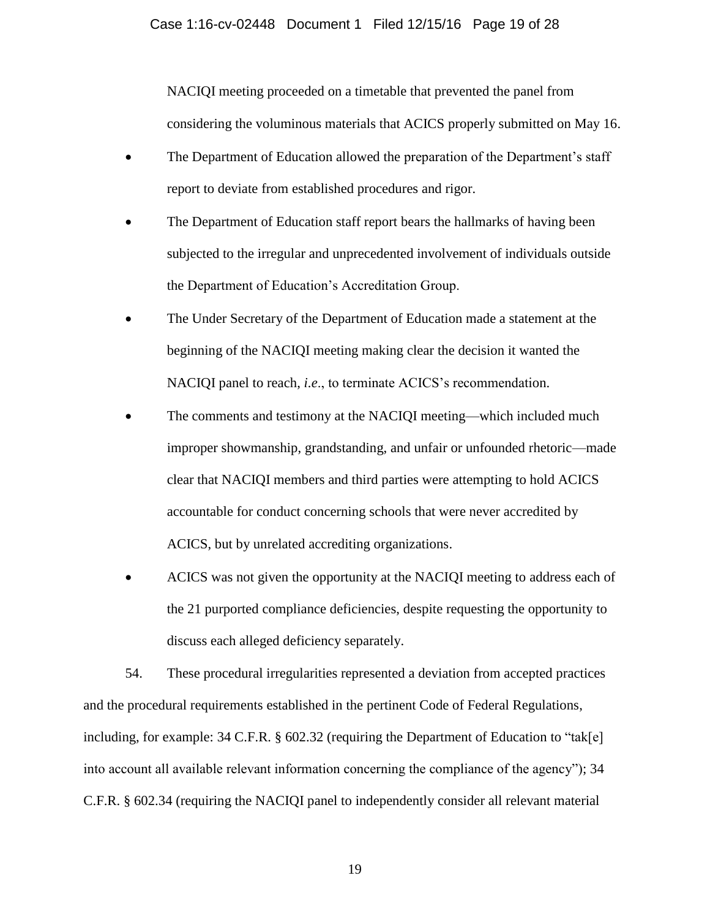NACIQI meeting proceeded on a timetable that prevented the panel from considering the voluminous materials that ACICS properly submitted on May 16.

- The Department of Education allowed the preparation of the Department's staff report to deviate from established procedures and rigor.
- The Department of Education staff report bears the hallmarks of having been subjected to the irregular and unprecedented involvement of individuals outside the Department of Education's Accreditation Group.
- The Under Secretary of the Department of Education made a statement at the beginning of the NACIQI meeting making clear the decision it wanted the NACIQI panel to reach, *i.e*., to terminate ACICS's recommendation.
- The comments and testimony at the NACIQI meeting—which included much improper showmanship, grandstanding, and unfair or unfounded rhetoric—made clear that NACIQI members and third parties were attempting to hold ACICS accountable for conduct concerning schools that were never accredited by ACICS, but by unrelated accrediting organizations.
- ACICS was not given the opportunity at the NACIQI meeting to address each of the 21 purported compliance deficiencies, despite requesting the opportunity to discuss each alleged deficiency separately.

54. These procedural irregularities represented a deviation from accepted practices and the procedural requirements established in the pertinent Code of Federal Regulations, including, for example: 34 C.F.R. § 602.32 (requiring the Department of Education to "tak[e] into account all available relevant information concerning the compliance of the agency"); 34 C.F.R. § 602.34 (requiring the NACIQI panel to independently consider all relevant material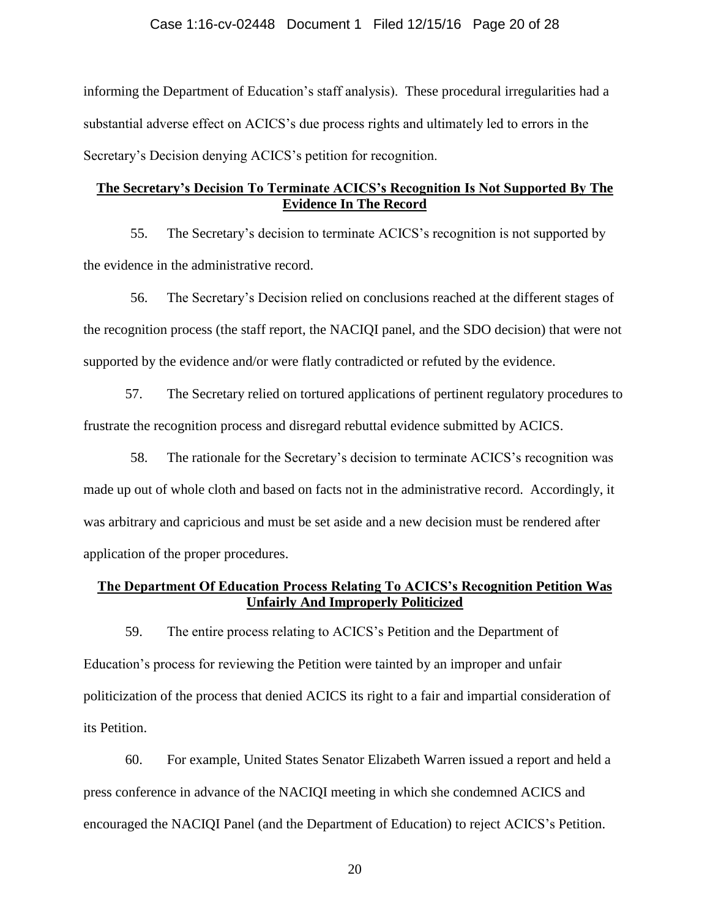#### Case 1:16-cv-02448 Document 1 Filed 12/15/16 Page 20 of 28

informing the Department of Education's staff analysis). These procedural irregularities had a substantial adverse effect on ACICS's due process rights and ultimately led to errors in the Secretary's Decision denying ACICS's petition for recognition.

### **The Secretary's Decision To Terminate ACICS's Recognition Is Not Supported By The Evidence In The Record**

55. The Secretary's decision to terminate ACICS's recognition is not supported by the evidence in the administrative record.

56. The Secretary's Decision relied on conclusions reached at the different stages of the recognition process (the staff report, the NACIQI panel, and the SDO decision) that were not supported by the evidence and/or were flatly contradicted or refuted by the evidence.

57. The Secretary relied on tortured applications of pertinent regulatory procedures to frustrate the recognition process and disregard rebuttal evidence submitted by ACICS.

58. The rationale for the Secretary's decision to terminate ACICS's recognition was made up out of whole cloth and based on facts not in the administrative record. Accordingly, it was arbitrary and capricious and must be set aside and a new decision must be rendered after application of the proper procedures.

### **The Department Of Education Process Relating To ACICS's Recognition Petition Was Unfairly And Improperly Politicized**

59. The entire process relating to ACICS's Petition and the Department of Education's process for reviewing the Petition were tainted by an improper and unfair politicization of the process that denied ACICS its right to a fair and impartial consideration of its Petition.

60. For example, United States Senator Elizabeth Warren issued a report and held a press conference in advance of the NACIQI meeting in which she condemned ACICS and encouraged the NACIQI Panel (and the Department of Education) to reject ACICS's Petition.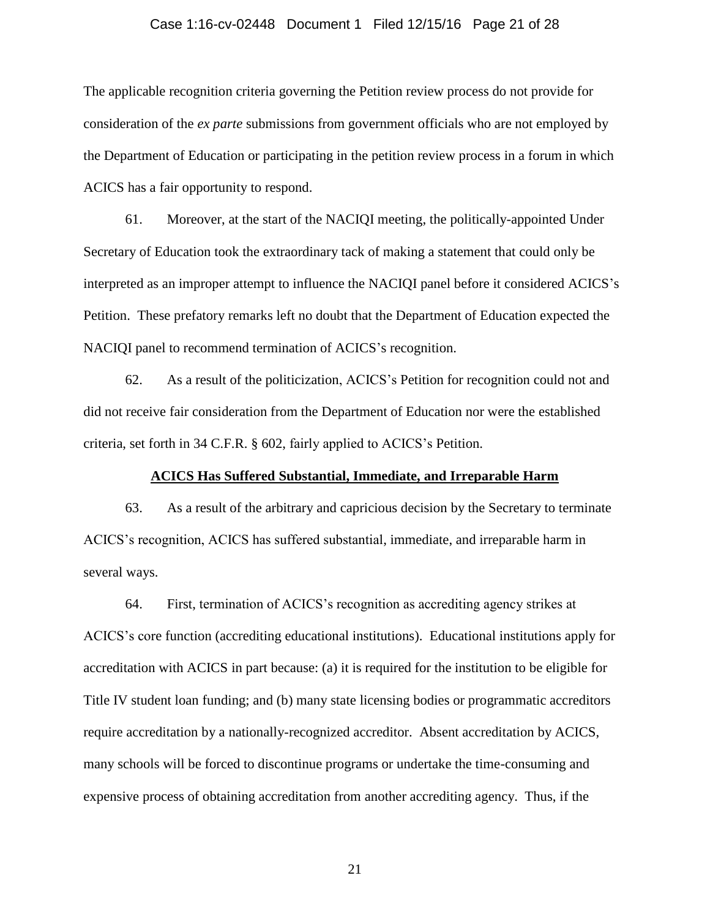#### Case 1:16-cv-02448 Document 1 Filed 12/15/16 Page 21 of 28

The applicable recognition criteria governing the Petition review process do not provide for consideration of the *ex parte* submissions from government officials who are not employed by the Department of Education or participating in the petition review process in a forum in which ACICS has a fair opportunity to respond.

61. Moreover, at the start of the NACIQI meeting, the politically-appointed Under Secretary of Education took the extraordinary tack of making a statement that could only be interpreted as an improper attempt to influence the NACIQI panel before it considered ACICS's Petition. These prefatory remarks left no doubt that the Department of Education expected the NACIQI panel to recommend termination of ACICS's recognition.

62. As a result of the politicization, ACICS's Petition for recognition could not and did not receive fair consideration from the Department of Education nor were the established criteria, set forth in 34 C.F.R. § 602, fairly applied to ACICS's Petition.

#### **ACICS Has Suffered Substantial, Immediate, and Irreparable Harm**

63. As a result of the arbitrary and capricious decision by the Secretary to terminate ACICS's recognition, ACICS has suffered substantial, immediate, and irreparable harm in several ways.

64. First, termination of ACICS's recognition as accrediting agency strikes at ACICS's core function (accrediting educational institutions). Educational institutions apply for accreditation with ACICS in part because: (a) it is required for the institution to be eligible for Title IV student loan funding; and (b) many state licensing bodies or programmatic accreditors require accreditation by a nationally-recognized accreditor. Absent accreditation by ACICS, many schools will be forced to discontinue programs or undertake the time-consuming and expensive process of obtaining accreditation from another accrediting agency. Thus, if the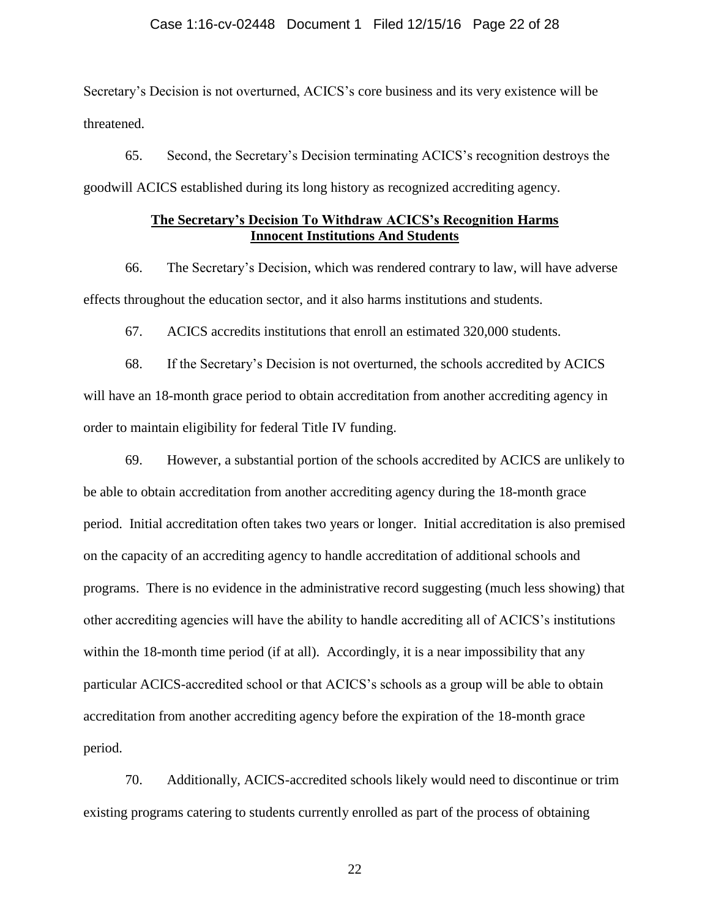#### Case 1:16-cv-02448 Document 1 Filed 12/15/16 Page 22 of 28

Secretary's Decision is not overturned, ACICS's core business and its very existence will be threatened.

65. Second, the Secretary's Decision terminating ACICS's recognition destroys the goodwill ACICS established during its long history as recognized accrediting agency.

### **The Secretary's Decision To Withdraw ACICS's Recognition Harms Innocent Institutions And Students**

66. The Secretary's Decision, which was rendered contrary to law, will have adverse effects throughout the education sector, and it also harms institutions and students.

67. ACICS accredits institutions that enroll an estimated 320,000 students.

68. If the Secretary's Decision is not overturned, the schools accredited by ACICS will have an 18-month grace period to obtain accreditation from another accrediting agency in order to maintain eligibility for federal Title IV funding.

69. However, a substantial portion of the schools accredited by ACICS are unlikely to be able to obtain accreditation from another accrediting agency during the 18-month grace period. Initial accreditation often takes two years or longer. Initial accreditation is also premised on the capacity of an accrediting agency to handle accreditation of additional schools and programs. There is no evidence in the administrative record suggesting (much less showing) that other accrediting agencies will have the ability to handle accrediting all of ACICS's institutions within the 18-month time period (if at all). Accordingly, it is a near impossibility that any particular ACICS-accredited school or that ACICS's schools as a group will be able to obtain accreditation from another accrediting agency before the expiration of the 18-month grace period.

70. Additionally, ACICS-accredited schools likely would need to discontinue or trim existing programs catering to students currently enrolled as part of the process of obtaining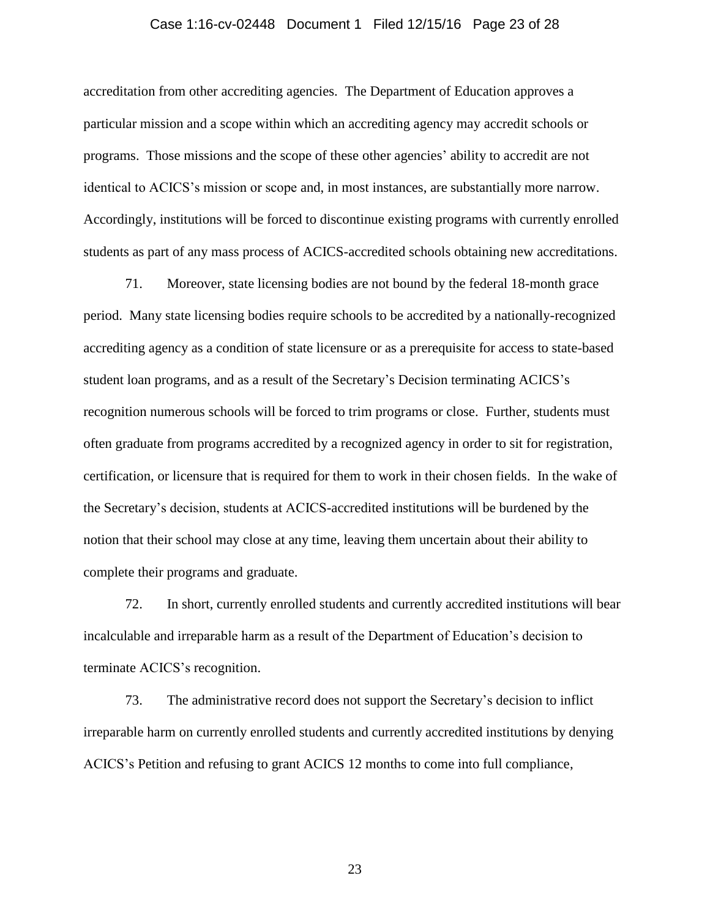#### Case 1:16-cv-02448 Document 1 Filed 12/15/16 Page 23 of 28

accreditation from other accrediting agencies. The Department of Education approves a particular mission and a scope within which an accrediting agency may accredit schools or programs. Those missions and the scope of these other agencies' ability to accredit are not identical to ACICS's mission or scope and, in most instances, are substantially more narrow. Accordingly, institutions will be forced to discontinue existing programs with currently enrolled students as part of any mass process of ACICS-accredited schools obtaining new accreditations.

71. Moreover, state licensing bodies are not bound by the federal 18-month grace period. Many state licensing bodies require schools to be accredited by a nationally-recognized accrediting agency as a condition of state licensure or as a prerequisite for access to state-based student loan programs, and as a result of the Secretary's Decision terminating ACICS's recognition numerous schools will be forced to trim programs or close. Further, students must often graduate from programs accredited by a recognized agency in order to sit for registration, certification, or licensure that is required for them to work in their chosen fields. In the wake of the Secretary's decision, students at ACICS-accredited institutions will be burdened by the notion that their school may close at any time, leaving them uncertain about their ability to complete their programs and graduate.

72. In short, currently enrolled students and currently accredited institutions will bear incalculable and irreparable harm as a result of the Department of Education's decision to terminate ACICS's recognition.

73. The administrative record does not support the Secretary's decision to inflict irreparable harm on currently enrolled students and currently accredited institutions by denying ACICS's Petition and refusing to grant ACICS 12 months to come into full compliance,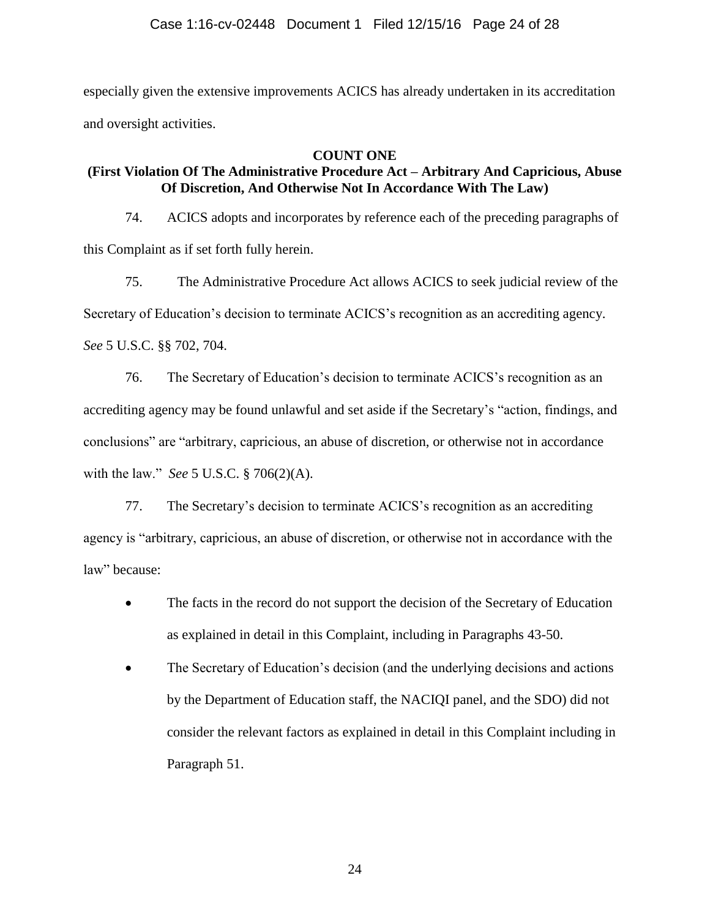especially given the extensive improvements ACICS has already undertaken in its accreditation and oversight activities.

## **COUNT ONE**

# **(First Violation Of The Administrative Procedure Act – Arbitrary And Capricious, Abuse Of Discretion, And Otherwise Not In Accordance With The Law)**

74. ACICS adopts and incorporates by reference each of the preceding paragraphs of this Complaint as if set forth fully herein.

75. The Administrative Procedure Act allows ACICS to seek judicial review of the Secretary of Education's decision to terminate ACICS's recognition as an accrediting agency. *See* 5 U.S.C. §§ 702, 704.

76. The Secretary of Education's decision to terminate ACICS's recognition as an accrediting agency may be found unlawful and set aside if the Secretary's "action, findings, and conclusions" are "arbitrary, capricious, an abuse of discretion, or otherwise not in accordance with the law." *See* 5 U.S.C. § 706(2)(A).

77. The Secretary's decision to terminate ACICS's recognition as an accrediting agency is "arbitrary, capricious, an abuse of discretion, or otherwise not in accordance with the law" because:

- The facts in the record do not support the decision of the Secretary of Education as explained in detail in this Complaint, including in Paragraphs 43-50.
- The Secretary of Education's decision (and the underlying decisions and actions by the Department of Education staff, the NACIQI panel, and the SDO) did not consider the relevant factors as explained in detail in this Complaint including in Paragraph 51.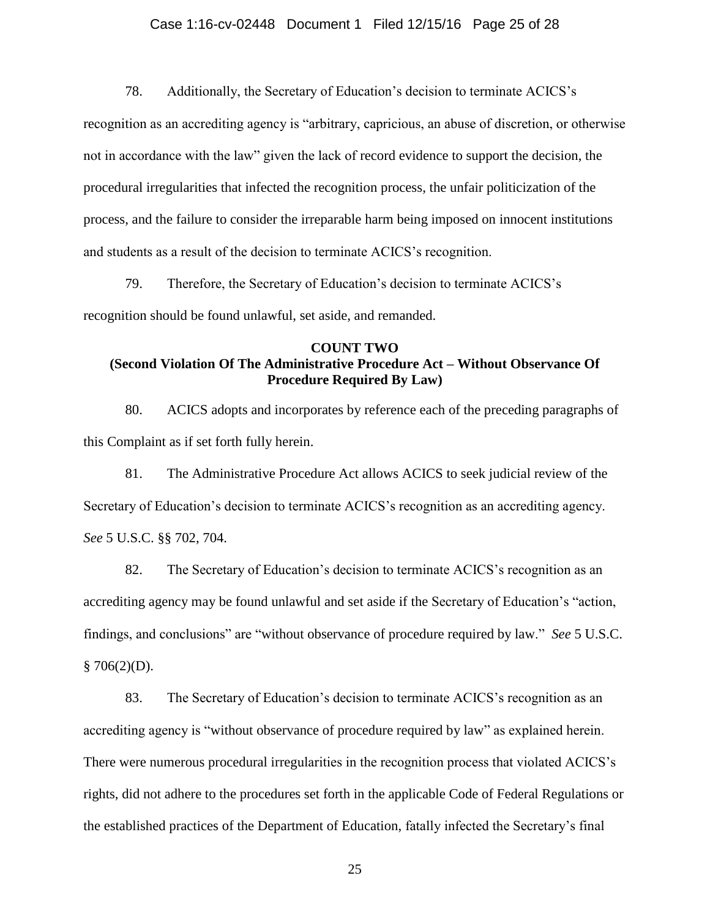#### Case 1:16-cv-02448 Document 1 Filed 12/15/16 Page 25 of 28

78. Additionally, the Secretary of Education's decision to terminate ACICS's

recognition as an accrediting agency is "arbitrary, capricious, an abuse of discretion, or otherwise not in accordance with the law" given the lack of record evidence to support the decision, the procedural irregularities that infected the recognition process, the unfair politicization of the process, and the failure to consider the irreparable harm being imposed on innocent institutions and students as a result of the decision to terminate ACICS's recognition.

79. Therefore, the Secretary of Education's decision to terminate ACICS's recognition should be found unlawful, set aside, and remanded.

## **COUNT TWO (Second Violation Of The Administrative Procedure Act – Without Observance Of Procedure Required By Law)**

80. ACICS adopts and incorporates by reference each of the preceding paragraphs of this Complaint as if set forth fully herein.

81. The Administrative Procedure Act allows ACICS to seek judicial review of the Secretary of Education's decision to terminate ACICS's recognition as an accrediting agency. *See* 5 U.S.C. §§ 702, 704.

82. The Secretary of Education's decision to terminate ACICS's recognition as an accrediting agency may be found unlawful and set aside if the Secretary of Education's "action, findings, and conclusions" are "without observance of procedure required by law." *See* 5 U.S.C.  $§ 706(2)(D).$ 

83. The Secretary of Education's decision to terminate ACICS's recognition as an accrediting agency is "without observance of procedure required by law" as explained herein. There were numerous procedural irregularities in the recognition process that violated ACICS's rights, did not adhere to the procedures set forth in the applicable Code of Federal Regulations or the established practices of the Department of Education, fatally infected the Secretary's final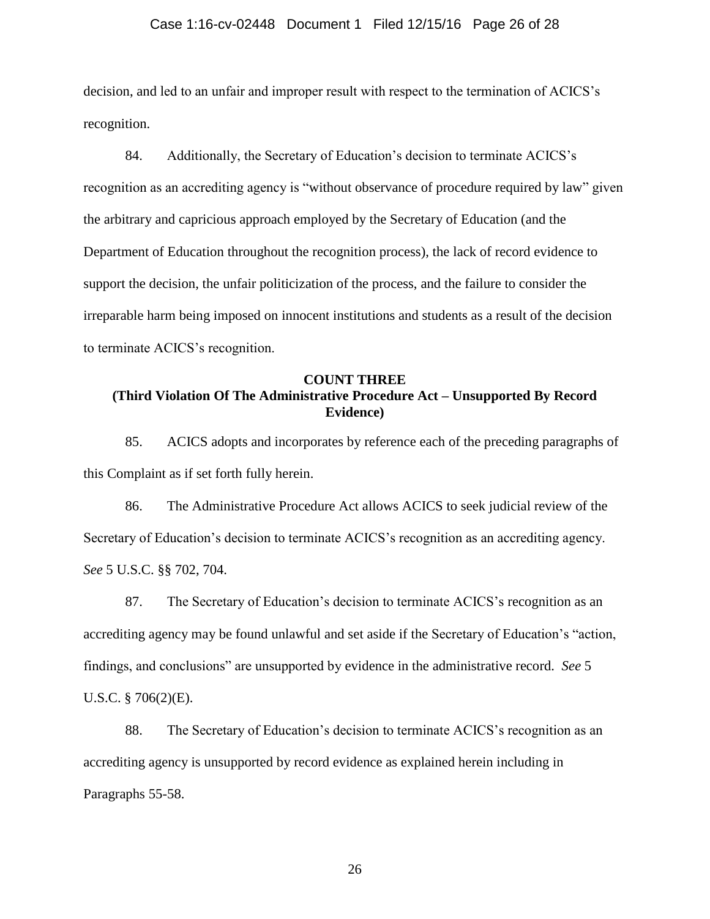#### Case 1:16-cv-02448 Document 1 Filed 12/15/16 Page 26 of 28

decision, and led to an unfair and improper result with respect to the termination of ACICS's recognition.

84. Additionally, the Secretary of Education's decision to terminate ACICS's recognition as an accrediting agency is "without observance of procedure required by law" given the arbitrary and capricious approach employed by the Secretary of Education (and the Department of Education throughout the recognition process), the lack of record evidence to support the decision, the unfair politicization of the process, and the failure to consider the irreparable harm being imposed on innocent institutions and students as a result of the decision to terminate ACICS's recognition.

### **COUNT THREE (Third Violation Of The Administrative Procedure Act – Unsupported By Record Evidence)**

85. ACICS adopts and incorporates by reference each of the preceding paragraphs of this Complaint as if set forth fully herein.

86. The Administrative Procedure Act allows ACICS to seek judicial review of the Secretary of Education's decision to terminate ACICS's recognition as an accrediting agency. *See* 5 U.S.C. §§ 702, 704.

87. The Secretary of Education's decision to terminate ACICS's recognition as an accrediting agency may be found unlawful and set aside if the Secretary of Education's "action, findings, and conclusions" are unsupported by evidence in the administrative record. *See* 5 U.S.C. § 706(2)(E).

88. The Secretary of Education's decision to terminate ACICS's recognition as an accrediting agency is unsupported by record evidence as explained herein including in Paragraphs 55-58.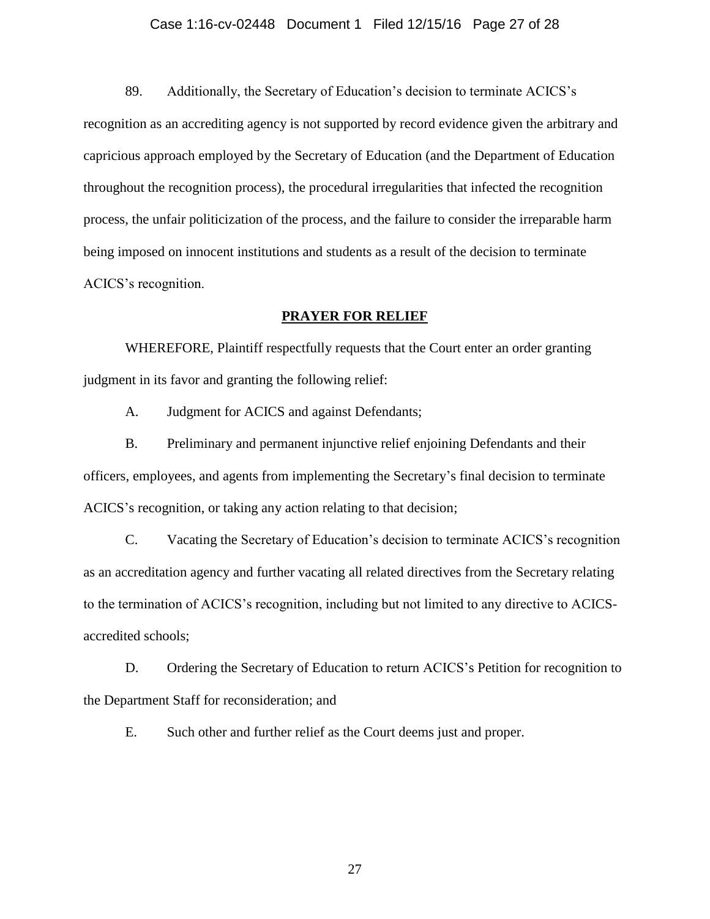#### Case 1:16-cv-02448 Document 1 Filed 12/15/16 Page 27 of 28

89. Additionally, the Secretary of Education's decision to terminate ACICS's recognition as an accrediting agency is not supported by record evidence given the arbitrary and capricious approach employed by the Secretary of Education (and the Department of Education throughout the recognition process), the procedural irregularities that infected the recognition process, the unfair politicization of the process, and the failure to consider the irreparable harm being imposed on innocent institutions and students as a result of the decision to terminate ACICS's recognition.

### **PRAYER FOR RELIEF**

WHEREFORE, Plaintiff respectfully requests that the Court enter an order granting judgment in its favor and granting the following relief:

A. Judgment for ACICS and against Defendants;

B. Preliminary and permanent injunctive relief enjoining Defendants and their officers, employees, and agents from implementing the Secretary's final decision to terminate ACICS's recognition, or taking any action relating to that decision;

C. Vacating the Secretary of Education's decision to terminate ACICS's recognition as an accreditation agency and further vacating all related directives from the Secretary relating to the termination of ACICS's recognition, including but not limited to any directive to ACICSaccredited schools;

D. Ordering the Secretary of Education to return ACICS's Petition for recognition to the Department Staff for reconsideration; and

E. Such other and further relief as the Court deems just and proper.